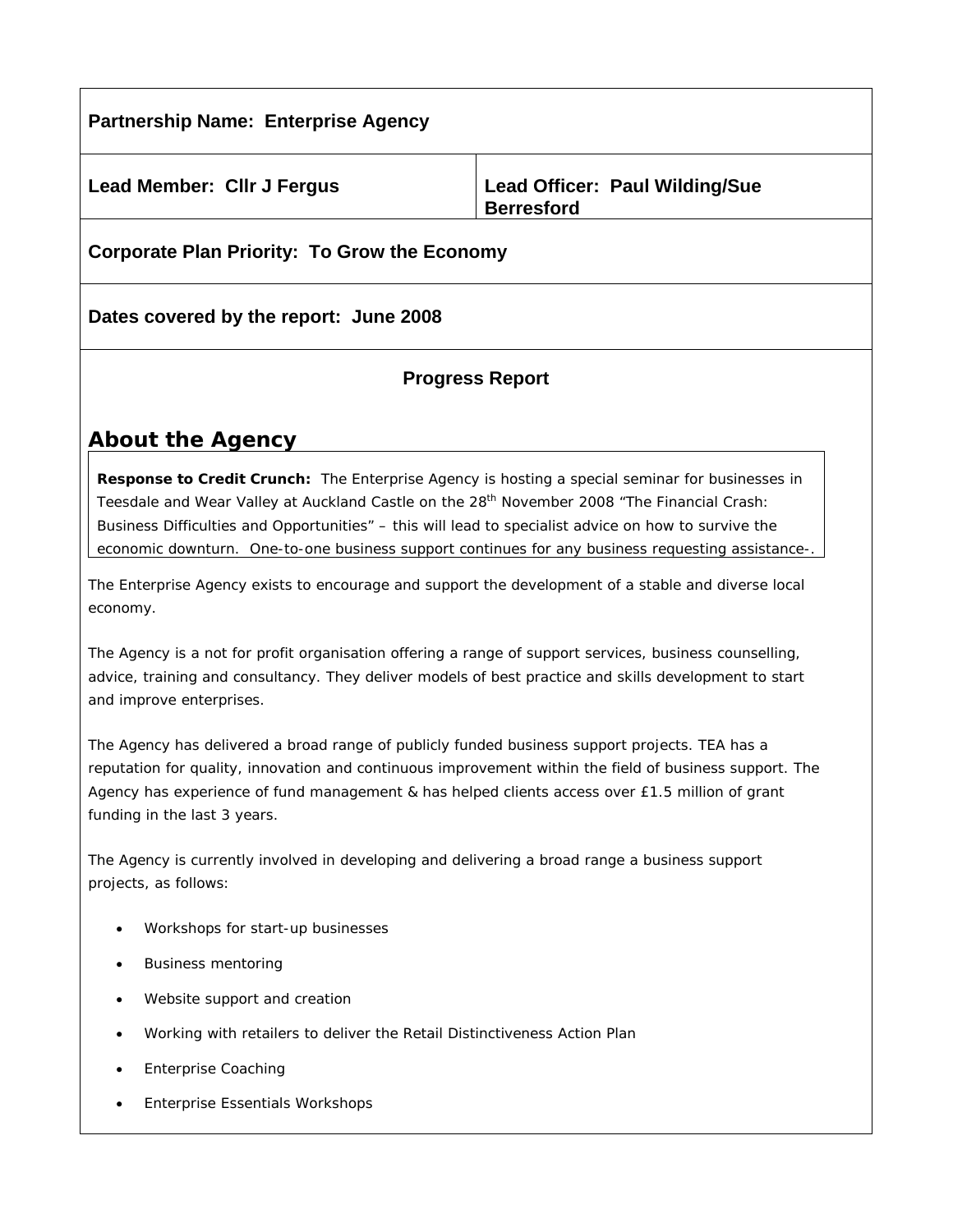| <b>Partnership Name: Enterprise Agency</b>   |                                                     |
|----------------------------------------------|-----------------------------------------------------|
| <b>Lead Member: Cllr J Fergus</b>            | Lead Officer: Paul Wilding/Sue<br><b>Berresford</b> |
| Corporate Plan Priority: To Grow the Economy |                                                     |

**Dates covered by the report: June 2008** 

## **Progress Report**

# **About the Agency**

**Response to Credit Crunch:** The Enterprise Agency is hosting a special seminar for businesses in Teesdale and Wear Valley at Auckland Castle on the 28<sup>th</sup> November 2008 "The Financial Crash: Business Difficulties and Opportunities" – this will lead to specialist advice on how to survive the economic downturn. One-to-one business support continues for any business requesting assistance-.

The Enterprise Agency exists to encourage and support the development of a stable and diverse local economy.

The Agency is a not for profit organisation offering a range of support services, business counselling, advice, training and consultancy. They deliver models of best practice and skills development to start and improve enterprises.

The Agency has delivered a broad range of publicly funded business support projects. TEA has a reputation for quality, innovation and continuous improvement within the field of business support. The Agency has experience of fund management & has helped clients access over £1.5 million of grant funding in the last 3 years.

The Agency is currently involved in developing and delivering a broad range a business support projects, as follows:

- Workshops for start-up businesses
- Business mentoring
- Website support and creation
- Working with retailers to deliver the Retail Distinctiveness Action Plan
- Enterprise Coaching
- Enterprise Essentials Workshops